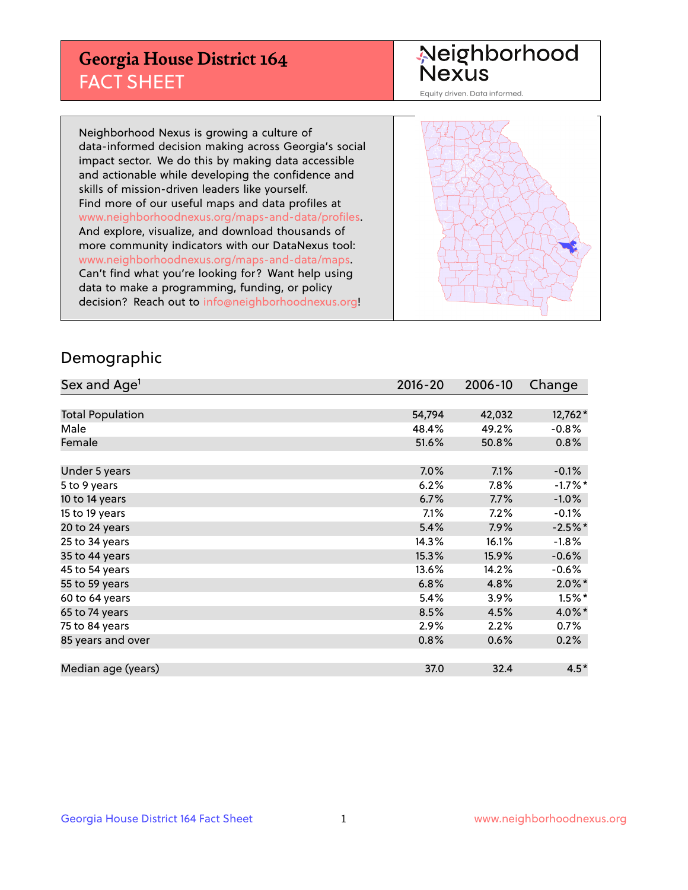## **Georgia House District 164** FACT SHEET

# Neighborhood<br>Nexus

Equity driven. Data informed.

Neighborhood Nexus is growing a culture of data-informed decision making across Georgia's social impact sector. We do this by making data accessible and actionable while developing the confidence and skills of mission-driven leaders like yourself. Find more of our useful maps and data profiles at www.neighborhoodnexus.org/maps-and-data/profiles. And explore, visualize, and download thousands of more community indicators with our DataNexus tool: www.neighborhoodnexus.org/maps-and-data/maps. Can't find what you're looking for? Want help using data to make a programming, funding, or policy decision? Reach out to [info@neighborhoodnexus.org!](mailto:info@neighborhoodnexus.org)



### Demographic

| Sex and Age <sup>1</sup> | $2016 - 20$ | 2006-10 | Change    |
|--------------------------|-------------|---------|-----------|
|                          |             |         |           |
| <b>Total Population</b>  | 54,794      | 42,032  | 12,762*   |
| Male                     | 48.4%       | 49.2%   | $-0.8%$   |
| Female                   | 51.6%       | 50.8%   | 0.8%      |
|                          |             |         |           |
| Under 5 years            | 7.0%        | 7.1%    | $-0.1%$   |
| 5 to 9 years             | 6.2%        | 7.8%    | $-1.7%$ * |
| 10 to 14 years           | 6.7%        | 7.7%    | $-1.0\%$  |
| 15 to 19 years           | 7.1%        | 7.2%    | $-0.1%$   |
| 20 to 24 years           | 5.4%        | 7.9%    | $-2.5%$ * |
| 25 to 34 years           | 14.3%       | 16.1%   | $-1.8%$   |
| 35 to 44 years           | 15.3%       | 15.9%   | $-0.6%$   |
| 45 to 54 years           | 13.6%       | 14.2%   | $-0.6%$   |
| 55 to 59 years           | 6.8%        | 4.8%    | $2.0\%$ * |
| 60 to 64 years           | 5.4%        | 3.9%    | $1.5%$ *  |
| 65 to 74 years           | 8.5%        | 4.5%    | 4.0%*     |
| 75 to 84 years           | 2.9%        | 2.2%    | 0.7%      |
| 85 years and over        | 0.8%        | 0.6%    | 0.2%      |
|                          |             |         |           |
| Median age (years)       | 37.0        | 32.4    | $4.5*$    |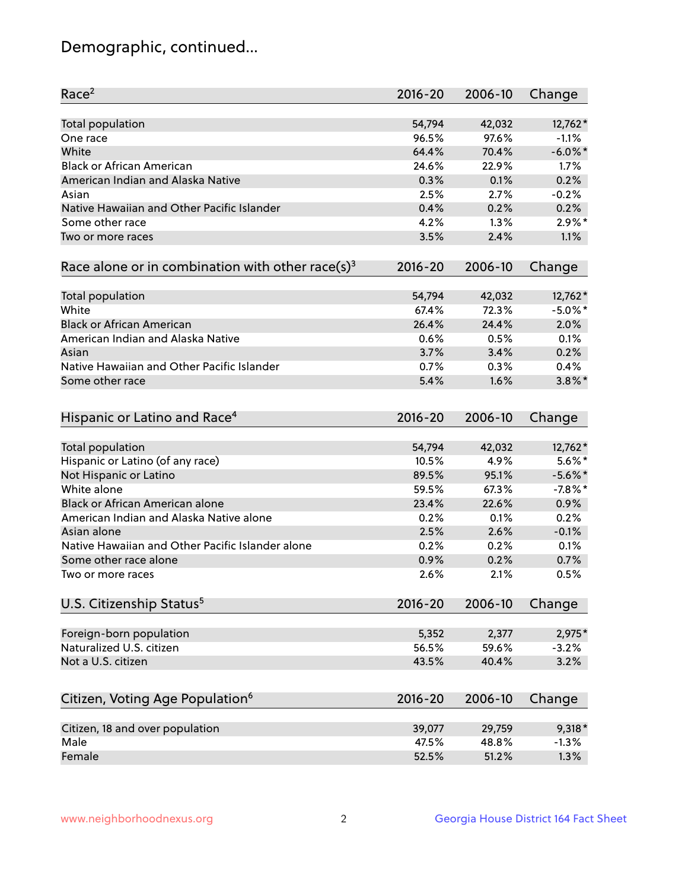## Demographic, continued...

| Race <sup>2</sup>                                            | $2016 - 20$ | 2006-10 | Change     |
|--------------------------------------------------------------|-------------|---------|------------|
| <b>Total population</b>                                      | 54,794      | 42,032  | 12,762*    |
| One race                                                     | 96.5%       | 97.6%   | $-1.1%$    |
| White                                                        | 64.4%       | 70.4%   | $-6.0\%$ * |
| <b>Black or African American</b>                             | 24.6%       | 22.9%   | 1.7%       |
| American Indian and Alaska Native                            | 0.3%        | 0.1%    | 0.2%       |
| Asian                                                        | 2.5%        | 2.7%    | $-0.2%$    |
| Native Hawaiian and Other Pacific Islander                   | 0.4%        | 0.2%    | 0.2%       |
| Some other race                                              | 4.2%        | 1.3%    | $2.9\%$ *  |
| Two or more races                                            | 3.5%        | 2.4%    | 1.1%       |
| Race alone or in combination with other race(s) <sup>3</sup> | $2016 - 20$ | 2006-10 | Change     |
| Total population                                             | 54,794      | 42,032  | 12,762*    |
| White                                                        | 67.4%       | 72.3%   | $-5.0\%$ * |
| <b>Black or African American</b>                             | 26.4%       | 24.4%   | 2.0%       |
| American Indian and Alaska Native                            | 0.6%        | 0.5%    | 0.1%       |
| Asian                                                        | 3.7%        | 3.4%    | 0.2%       |
| Native Hawaiian and Other Pacific Islander                   | 0.7%        | 0.3%    | 0.4%       |
|                                                              | 5.4%        | 1.6%    | $3.8\%$ *  |
| Some other race                                              |             |         |            |
| Hispanic or Latino and Race <sup>4</sup>                     | $2016 - 20$ | 2006-10 | Change     |
| <b>Total population</b>                                      | 54,794      | 42,032  | 12,762*    |
| Hispanic or Latino (of any race)                             | 10.5%       | 4.9%    | $5.6\%$ *  |
| Not Hispanic or Latino                                       | 89.5%       | 95.1%   | $-5.6\%$ * |
| White alone                                                  | 59.5%       | 67.3%   | $-7.8%$ *  |
| <b>Black or African American alone</b>                       | 23.4%       | 22.6%   | 0.9%       |
| American Indian and Alaska Native alone                      | 0.2%        | 0.1%    | 0.2%       |
| Asian alone                                                  | 2.5%        | 2.6%    | $-0.1%$    |
| Native Hawaiian and Other Pacific Islander alone             | 0.2%        | 0.2%    | 0.1%       |
| Some other race alone                                        | 0.9%        | 0.2%    | 0.7%       |
| Two or more races                                            | 2.6%        | 2.1%    | 0.5%       |
| U.S. Citizenship Status <sup>5</sup>                         | 2016-20     | 2006-10 | Change     |
|                                                              |             |         |            |
| Foreign-born population                                      | 5,352       | 2,377   | 2,975*     |
| Naturalized U.S. citizen                                     | 56.5%       | 59.6%   | $-3.2%$    |
| Not a U.S. citizen                                           | 43.5%       | 40.4%   | 3.2%       |
| Citizen, Voting Age Population <sup>6</sup>                  | $2016 - 20$ | 2006-10 | Change     |
| Citizen, 18 and over population                              | 39,077      | 29,759  | $9,318*$   |
| Male                                                         | 47.5%       | 48.8%   | $-1.3%$    |
| Female                                                       | 52.5%       | 51.2%   | 1.3%       |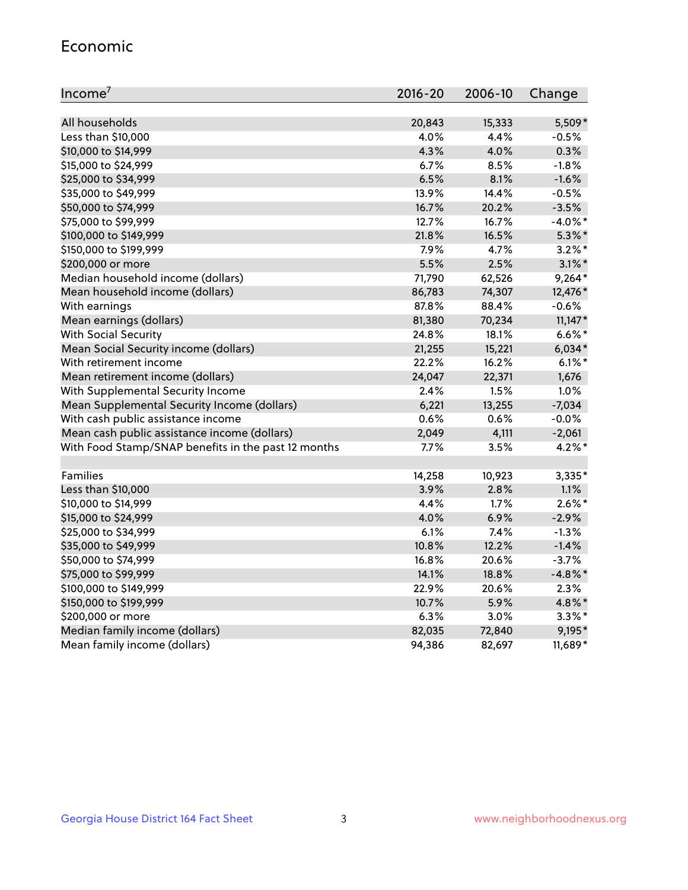#### Economic

| Income <sup>7</sup>                                 | $2016 - 20$ | 2006-10 | Change     |
|-----------------------------------------------------|-------------|---------|------------|
|                                                     |             |         |            |
| All households                                      | 20,843      | 15,333  | 5,509*     |
| Less than \$10,000                                  | 4.0%        | 4.4%    | $-0.5%$    |
| \$10,000 to \$14,999                                | 4.3%        | 4.0%    | 0.3%       |
| \$15,000 to \$24,999                                | 6.7%        | 8.5%    | $-1.8%$    |
| \$25,000 to \$34,999                                | 6.5%        | 8.1%    | $-1.6%$    |
| \$35,000 to \$49,999                                | 13.9%       | 14.4%   | $-0.5%$    |
| \$50,000 to \$74,999                                | 16.7%       | 20.2%   | $-3.5%$    |
| \$75,000 to \$99,999                                | 12.7%       | 16.7%   | $-4.0\%$ * |
| \$100,000 to \$149,999                              | 21.8%       | 16.5%   | $5.3\%$ *  |
| \$150,000 to \$199,999                              | 7.9%        | 4.7%    | $3.2\%$ *  |
| \$200,000 or more                                   | 5.5%        | 2.5%    | $3.1\%$ *  |
| Median household income (dollars)                   | 71,790      | 62,526  | $9,264*$   |
| Mean household income (dollars)                     | 86,783      | 74,307  | 12,476*    |
| With earnings                                       | 87.8%       | 88.4%   | $-0.6%$    |
| Mean earnings (dollars)                             | 81,380      | 70,234  | $11,147*$  |
| <b>With Social Security</b>                         | 24.8%       | 18.1%   | $6.6\%$ *  |
| Mean Social Security income (dollars)               | 21,255      | 15,221  | $6,034*$   |
| With retirement income                              | 22.2%       | 16.2%   | $6.1\%$ *  |
| Mean retirement income (dollars)                    | 24,047      | 22,371  | 1,676      |
| With Supplemental Security Income                   | 2.4%        | 1.5%    | 1.0%       |
| Mean Supplemental Security Income (dollars)         | 6,221       | 13,255  | $-7,034$   |
| With cash public assistance income                  | 0.6%        | 0.6%    | $-0.0%$    |
| Mean cash public assistance income (dollars)        | 2,049       | 4,111   | $-2,061$   |
| With Food Stamp/SNAP benefits in the past 12 months | 7.7%        | 3.5%    | $4.2\%$ *  |
|                                                     |             |         |            |
| Families                                            | 14,258      | 10,923  | 3,335*     |
| Less than \$10,000                                  | 3.9%        | 2.8%    | 1.1%       |
| \$10,000 to \$14,999                                | 4.4%        | 1.7%    | $2.6\%$ *  |
| \$15,000 to \$24,999                                | 4.0%        | 6.9%    | $-2.9%$    |
| \$25,000 to \$34,999                                | 6.1%        | 7.4%    | $-1.3%$    |
| \$35,000 to \$49,999                                | 10.8%       | 12.2%   | $-1.4%$    |
| \$50,000 to \$74,999                                | 16.8%       | 20.6%   | $-3.7%$    |
| \$75,000 to \$99,999                                | 14.1%       | 18.8%   | $-4.8\%$ * |
| \$100,000 to \$149,999                              | 22.9%       | 20.6%   | 2.3%       |
| \$150,000 to \$199,999                              | 10.7%       | 5.9%    | 4.8%*      |
| \$200,000 or more                                   | 6.3%        | 3.0%    | $3.3\%$ *  |
| Median family income (dollars)                      | 82,035      | 72,840  | 9,195*     |
| Mean family income (dollars)                        | 94,386      | 82,697  | 11,689*    |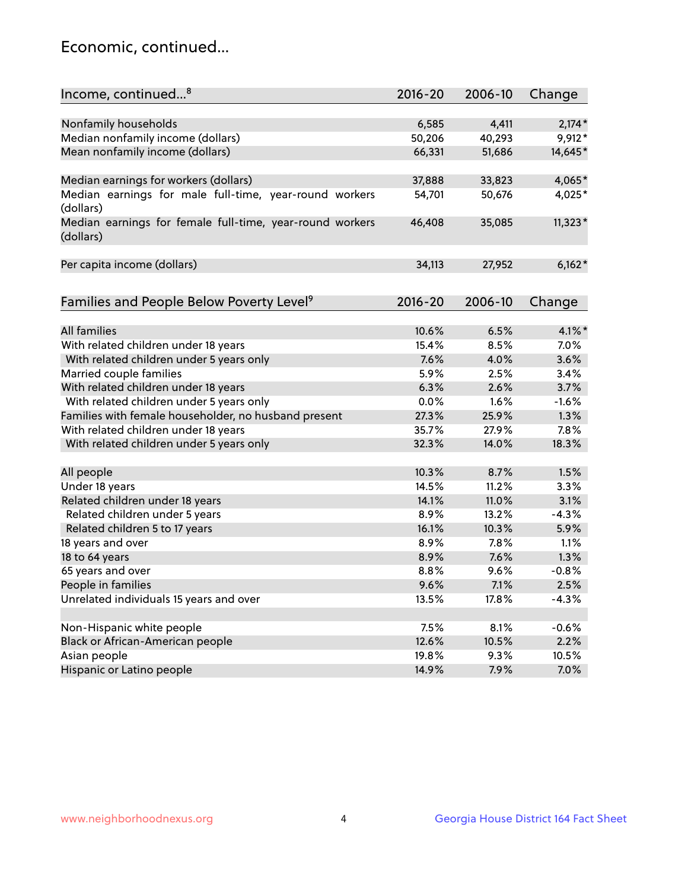## Economic, continued...

| Income, continued <sup>8</sup>                           | 2016-20 | 2006-10 | Change    |
|----------------------------------------------------------|---------|---------|-----------|
|                                                          |         |         |           |
| Nonfamily households                                     | 6,585   | 4,411   | $2,174*$  |
| Median nonfamily income (dollars)                        | 50,206  | 40,293  | 9,912*    |
| Mean nonfamily income (dollars)                          | 66,331  | 51,686  | 14,645*   |
|                                                          |         |         |           |
| Median earnings for workers (dollars)                    | 37,888  | 33,823  | 4,065*    |
| Median earnings for male full-time, year-round workers   | 54,701  | 50,676  | 4,025*    |
| (dollars)                                                |         |         |           |
| Median earnings for female full-time, year-round workers | 46,408  | 35,085  | $11,323*$ |
| (dollars)                                                |         |         |           |
|                                                          |         |         |           |
| Per capita income (dollars)                              | 34,113  | 27,952  | $6,162*$  |
|                                                          |         |         |           |
| Families and People Below Poverty Level <sup>9</sup>     | 2016-20 | 2006-10 | Change    |
|                                                          |         |         |           |
| <b>All families</b>                                      | 10.6%   | 6.5%    | $4.1\%$ * |
| With related children under 18 years                     | 15.4%   | 8.5%    | 7.0%      |
| With related children under 5 years only                 | 7.6%    | 4.0%    | 3.6%      |
| Married couple families                                  | 5.9%    | 2.5%    | 3.4%      |
| With related children under 18 years                     | 6.3%    | 2.6%    | 3.7%      |
| With related children under 5 years only                 | 0.0%    | 1.6%    | $-1.6%$   |
| Families with female householder, no husband present     | 27.3%   | 25.9%   | 1.3%      |
| With related children under 18 years                     | 35.7%   | 27.9%   | 7.8%      |
| With related children under 5 years only                 | 32.3%   | 14.0%   | 18.3%     |
|                                                          |         |         |           |
| All people                                               | 10.3%   | 8.7%    | 1.5%      |
| Under 18 years                                           | 14.5%   | 11.2%   | 3.3%      |
| Related children under 18 years                          | 14.1%   | 11.0%   | 3.1%      |
| Related children under 5 years                           | 8.9%    | 13.2%   | $-4.3%$   |
| Related children 5 to 17 years                           | 16.1%   | 10.3%   | 5.9%      |
| 18 years and over                                        | 8.9%    | 7.8%    | 1.1%      |
| 18 to 64 years                                           | 8.9%    | 7.6%    | 1.3%      |
| 65 years and over                                        | 8.8%    | 9.6%    | $-0.8%$   |
| People in families                                       | 9.6%    | 7.1%    | 2.5%      |
| Unrelated individuals 15 years and over                  | 13.5%   | 17.8%   | $-4.3%$   |
|                                                          |         |         |           |
| Non-Hispanic white people                                | 7.5%    | 8.1%    | $-0.6%$   |
| Black or African-American people                         | 12.6%   | 10.5%   | 2.2%      |
| Asian people                                             | 19.8%   | 9.3%    | 10.5%     |
| Hispanic or Latino people                                | 14.9%   | 7.9%    | 7.0%      |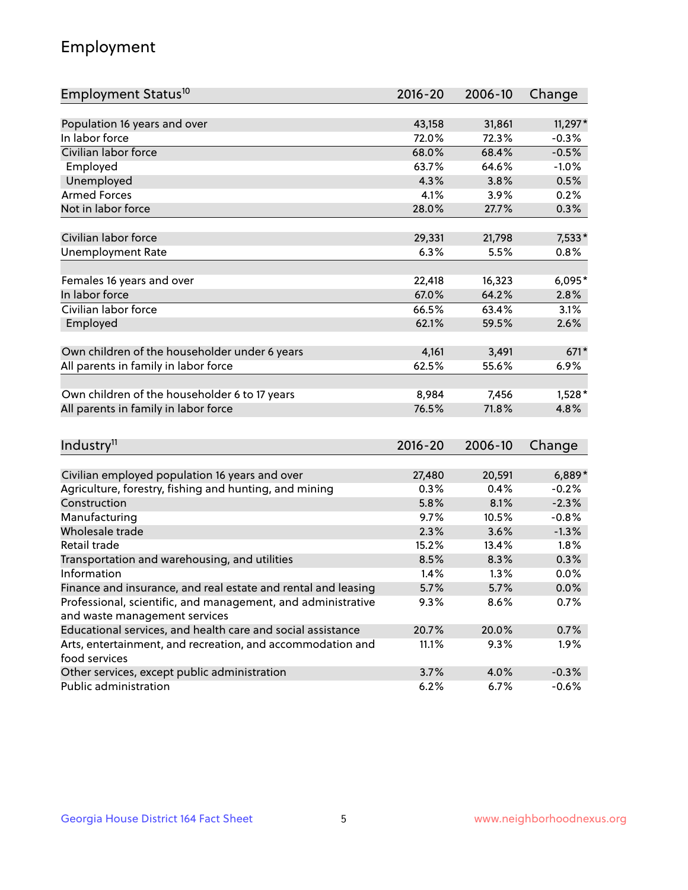## Employment

| Employment Status <sup>10</sup>                                                               | $2016 - 20$ | 2006-10 | Change   |
|-----------------------------------------------------------------------------------------------|-------------|---------|----------|
|                                                                                               |             |         |          |
| Population 16 years and over                                                                  | 43,158      | 31,861  | 11,297*  |
| In labor force                                                                                | 72.0%       | 72.3%   | $-0.3%$  |
| Civilian labor force                                                                          | 68.0%       | 68.4%   | $-0.5%$  |
| Employed                                                                                      | 63.7%       | 64.6%   | $-1.0%$  |
| Unemployed                                                                                    | 4.3%        | 3.8%    | 0.5%     |
| <b>Armed Forces</b>                                                                           | 4.1%        | 3.9%    | 0.2%     |
| Not in labor force                                                                            | 28.0%       | 27.7%   | 0.3%     |
| Civilian labor force                                                                          | 29,331      | 21,798  | 7,533*   |
| <b>Unemployment Rate</b>                                                                      | 6.3%        | 5.5%    | 0.8%     |
|                                                                                               |             |         |          |
| Females 16 years and over                                                                     | 22,418      | 16,323  | $6,095*$ |
| In labor force                                                                                | 67.0%       | 64.2%   | 2.8%     |
| Civilian labor force                                                                          | 66.5%       | 63.4%   | 3.1%     |
| Employed                                                                                      | 62.1%       | 59.5%   | 2.6%     |
|                                                                                               |             |         |          |
| Own children of the householder under 6 years                                                 | 4,161       | 3,491   | $671*$   |
| All parents in family in labor force                                                          | 62.5%       | 55.6%   | 6.9%     |
| Own children of the householder 6 to 17 years                                                 | 8,984       | 7,456   | $1,528*$ |
| All parents in family in labor force                                                          | 76.5%       | 71.8%   | 4.8%     |
|                                                                                               |             |         |          |
| Industry <sup>11</sup>                                                                        | $2016 - 20$ | 2006-10 | Change   |
|                                                                                               |             |         |          |
| Civilian employed population 16 years and over                                                | 27,480      | 20,591  | $6,889*$ |
| Agriculture, forestry, fishing and hunting, and mining                                        | 0.3%        | 0.4%    | $-0.2%$  |
| Construction                                                                                  | 5.8%        | 8.1%    | $-2.3%$  |
| Manufacturing                                                                                 | 9.7%        | 10.5%   | $-0.8%$  |
| Wholesale trade                                                                               | 2.3%        | 3.6%    | $-1.3%$  |
| Retail trade                                                                                  | 15.2%       | 13.4%   | 1.8%     |
| Transportation and warehousing, and utilities                                                 | 8.5%        | 8.3%    | 0.3%     |
| Information                                                                                   | 1.4%        | 1.3%    | 0.0%     |
| Finance and insurance, and real estate and rental and leasing                                 | 5.7%        | 5.7%    | 0.0%     |
| Professional, scientific, and management, and administrative<br>and waste management services | 9.3%        | 8.6%    | 0.7%     |
| Educational services, and health care and social assistance                                   | 20.7%       | 20.0%   | 0.7%     |
| Arts, entertainment, and recreation, and accommodation and                                    | 11.1%       | 9.3%    | $1.9\%$  |
| food services                                                                                 |             |         |          |
| Other services, except public administration                                                  | 3.7%        | 4.0%    | $-0.3%$  |
| Public administration                                                                         | 6.2%        | 6.7%    | $-0.6%$  |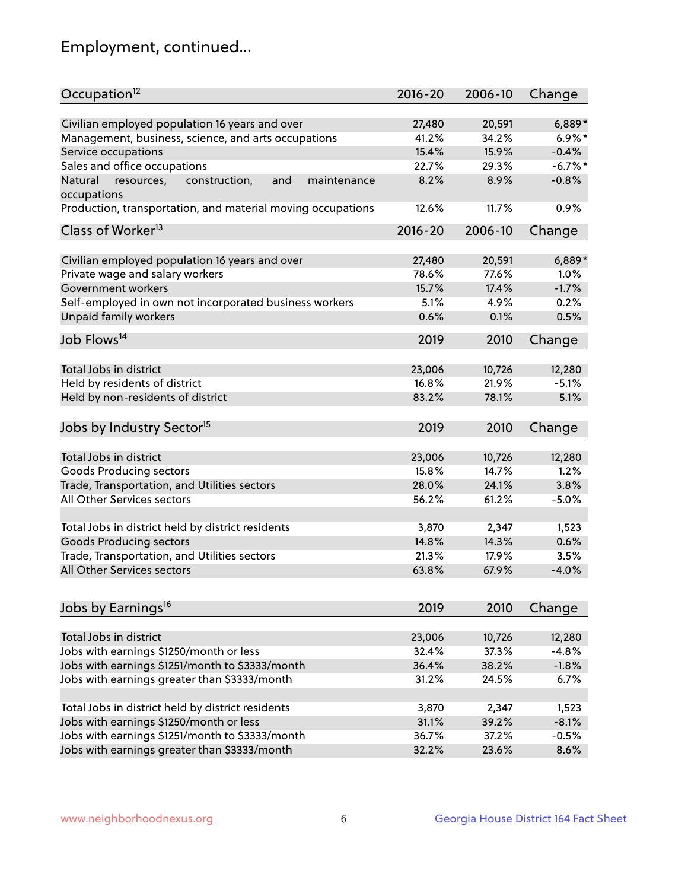## Employment, continued...

| Occupation <sup>12</sup>                                     | $2016 - 20$ | 2006-10 | Change     |
|--------------------------------------------------------------|-------------|---------|------------|
| Civilian employed population 16 years and over               | 27,480      | 20,591  | $6,889*$   |
| Management, business, science, and arts occupations          | 41.2%       | 34.2%   | $6.9\%$ *  |
| Service occupations                                          | 15.4%       | 15.9%   | $-0.4%$    |
| Sales and office occupations                                 | 22.7%       | 29.3%   | $-6.7\%$ * |
| Natural<br>and<br>resources,<br>construction,<br>maintenance | 8.2%        | 8.9%    | $-0.8%$    |
| occupations                                                  |             |         |            |
| Production, transportation, and material moving occupations  | 12.6%       | 11.7%   | 0.9%       |
| Class of Worker <sup>13</sup>                                | $2016 - 20$ | 2006-10 | Change     |
| Civilian employed population 16 years and over               | 27,480      | 20,591  | $6,889*$   |
| Private wage and salary workers                              | 78.6%       | 77.6%   | 1.0%       |
| Government workers                                           | 15.7%       | 17.4%   | $-1.7%$    |
| Self-employed in own not incorporated business workers       | 5.1%        | 4.9%    | 0.2%       |
| Unpaid family workers                                        | 0.6%        | 0.1%    | 0.5%       |
|                                                              |             |         |            |
| Job Flows <sup>14</sup>                                      | 2019        | 2010    | Change     |
| Total Jobs in district                                       | 23,006      | 10,726  | 12,280     |
| Held by residents of district                                | 16.8%       | 21.9%   | $-5.1%$    |
| Held by non-residents of district                            | 83.2%       | 78.1%   | 5.1%       |
|                                                              |             |         |            |
| Jobs by Industry Sector <sup>15</sup>                        | 2019        | 2010    | Change     |
| Total Jobs in district                                       | 23,006      | 10,726  | 12,280     |
| Goods Producing sectors                                      | 15.8%       | 14.7%   | 1.2%       |
| Trade, Transportation, and Utilities sectors                 | 28.0%       | 24.1%   | 3.8%       |
| All Other Services sectors                                   | 56.2%       | 61.2%   | $-5.0%$    |
|                                                              |             |         |            |
| Total Jobs in district held by district residents            | 3,870       | 2,347   | 1,523      |
| <b>Goods Producing sectors</b>                               | 14.8%       | 14.3%   | 0.6%       |
| Trade, Transportation, and Utilities sectors                 | 21.3%       | 17.9%   | 3.5%       |
| All Other Services sectors                                   | 63.8%       | 67.9%   | $-4.0%$    |
|                                                              |             |         |            |
| Jobs by Earnings <sup>16</sup>                               | 2019        | 2010    | Change     |
| Total Jobs in district                                       | 23,006      | 10,726  | 12,280     |
| Jobs with earnings \$1250/month or less                      | 32.4%       | 37.3%   | $-4.8%$    |
| Jobs with earnings \$1251/month to \$3333/month              | 36.4%       | 38.2%   | $-1.8%$    |
| Jobs with earnings greater than \$3333/month                 | 31.2%       | 24.5%   | 6.7%       |
|                                                              |             |         |            |
| Total Jobs in district held by district residents            | 3,870       | 2,347   | 1,523      |
| Jobs with earnings \$1250/month or less                      | 31.1%       | 39.2%   | $-8.1%$    |
| Jobs with earnings \$1251/month to \$3333/month              | 36.7%       | 37.2%   | $-0.5%$    |
| Jobs with earnings greater than \$3333/month                 | 32.2%       | 23.6%   | 8.6%       |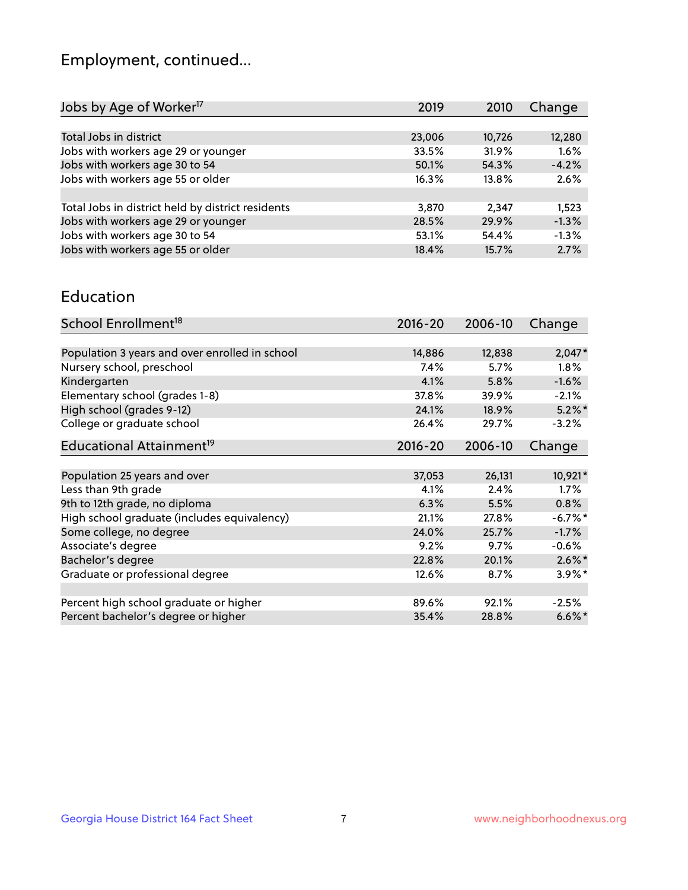## Employment, continued...

| Jobs by Age of Worker <sup>17</sup>               | 2019   | 2010   | Change  |
|---------------------------------------------------|--------|--------|---------|
|                                                   |        |        |         |
| Total Jobs in district                            | 23,006 | 10,726 | 12,280  |
| Jobs with workers age 29 or younger               | 33.5%  | 31.9%  | 1.6%    |
| Jobs with workers age 30 to 54                    | 50.1%  | 54.3%  | $-4.2%$ |
| Jobs with workers age 55 or older                 | 16.3%  | 13.8%  | 2.6%    |
|                                                   |        |        |         |
| Total Jobs in district held by district residents | 3,870  | 2,347  | 1,523   |
| Jobs with workers age 29 or younger               | 28.5%  | 29.9%  | $-1.3%$ |
| Jobs with workers age 30 to 54                    | 53.1%  | 54.4%  | $-1.3%$ |
| Jobs with workers age 55 or older                 | 18.4%  | 15.7%  | 2.7%    |
|                                                   |        |        |         |

#### Education

| School Enrollment <sup>18</sup>                | $2016 - 20$ | 2006-10 | Change     |
|------------------------------------------------|-------------|---------|------------|
|                                                |             |         |            |
| Population 3 years and over enrolled in school | 14,886      | 12,838  | $2,047*$   |
| Nursery school, preschool                      | $7.4\%$     | 5.7%    | $1.8\%$    |
| Kindergarten                                   | 4.1%        | 5.8%    | $-1.6%$    |
| Elementary school (grades 1-8)                 | 37.8%       | 39.9%   | $-2.1%$    |
| High school (grades 9-12)                      | 24.1%       | 18.9%   | $5.2\%$ *  |
| College or graduate school                     | 26.4%       | 29.7%   | $-3.2%$    |
| Educational Attainment <sup>19</sup>           | $2016 - 20$ | 2006-10 | Change     |
|                                                |             |         |            |
| Population 25 years and over                   | 37,053      | 26,131  | 10,921*    |
| Less than 9th grade                            | 4.1%        | 2.4%    | $1.7\%$    |
| 9th to 12th grade, no diploma                  | 6.3%        | 5.5%    | 0.8%       |
| High school graduate (includes equivalency)    | 21.1%       | 27.8%   | $-6.7\%$ * |
| Some college, no degree                        | 24.0%       | 25.7%   | $-1.7%$    |
| Associate's degree                             | 9.2%        | 9.7%    | $-0.6%$    |
| Bachelor's degree                              | 22.8%       | 20.1%   | $2.6\%$ *  |
| Graduate or professional degree                | 12.6%       | 8.7%    | $3.9\%$ *  |
|                                                |             |         |            |
| Percent high school graduate or higher         | 89.6%       | 92.1%   | $-2.5%$    |
| Percent bachelor's degree or higher            | 35.4%       | 28.8%   | $6.6\%$    |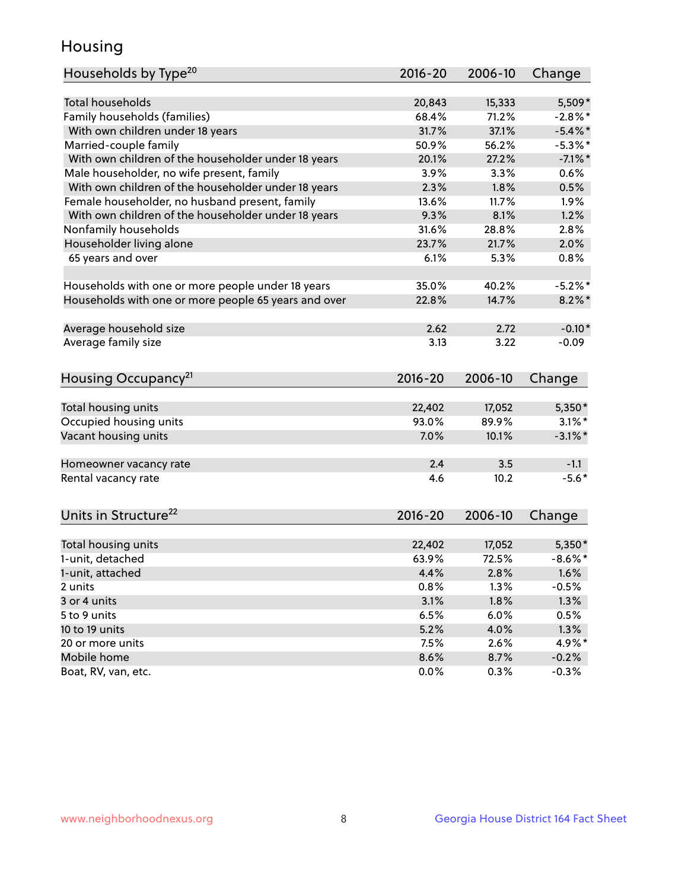## Housing

| Households by Type <sup>20</sup>                     | 2016-20     | 2006-10 | Change     |
|------------------------------------------------------|-------------|---------|------------|
|                                                      |             |         |            |
| <b>Total households</b>                              | 20,843      | 15,333  | 5,509*     |
| Family households (families)                         | 68.4%       | 71.2%   | $-2.8\%$ * |
| With own children under 18 years                     | 31.7%       | 37.1%   | $-5.4\%$ * |
| Married-couple family                                | 50.9%       | 56.2%   | $-5.3%$ *  |
| With own children of the householder under 18 years  | 20.1%       | 27.2%   | $-7.1\%$ * |
| Male householder, no wife present, family            | 3.9%        | 3.3%    | 0.6%       |
| With own children of the householder under 18 years  | 2.3%        | 1.8%    | 0.5%       |
| Female householder, no husband present, family       | 13.6%       | 11.7%   | $1.9\%$    |
| With own children of the householder under 18 years  | 9.3%        | 8.1%    | 1.2%       |
| Nonfamily households                                 | 31.6%       | 28.8%   | 2.8%       |
| Householder living alone                             | 23.7%       | 21.7%   | 2.0%       |
| 65 years and over                                    | 6.1%        | 5.3%    | 0.8%       |
|                                                      |             |         |            |
| Households with one or more people under 18 years    | 35.0%       | 40.2%   | $-5.2\%$ * |
| Households with one or more people 65 years and over | 22.8%       | 14.7%   | $8.2\%$ *  |
|                                                      |             |         |            |
| Average household size                               | 2.62        | 2.72    | $-0.10*$   |
| Average family size                                  | 3.13        | 3.22    | $-0.09$    |
|                                                      |             |         |            |
| Housing Occupancy <sup>21</sup>                      | $2016 - 20$ | 2006-10 | Change     |
|                                                      |             |         |            |
| Total housing units                                  | 22,402      | 17,052  | 5,350*     |
| Occupied housing units                               | 93.0%       | 89.9%   | $3.1\%$ *  |
| Vacant housing units                                 | 7.0%        | 10.1%   | $-3.1\%$ * |
|                                                      |             |         |            |
| Homeowner vacancy rate                               | 2.4         | 3.5     | $-1.1$     |
| Rental vacancy rate                                  | 4.6         | 10.2    | $-5.6*$    |
|                                                      |             |         |            |
|                                                      |             |         |            |
| Units in Structure <sup>22</sup>                     | $2016 - 20$ | 2006-10 | Change     |
| Total housing units                                  | 22,402      | 17,052  | $5,350*$   |
| 1-unit, detached                                     | 63.9%       | 72.5%   | $-8.6\%$ * |
|                                                      | 4.4%        | 2.8%    | 1.6%       |
| 1-unit, attached                                     | 0.8%        | 1.3%    | $-0.5%$    |
| 2 units<br>3 or 4 units                              |             | 1.8%    | 1.3%       |
|                                                      | 3.1%        |         |            |
| 5 to 9 units                                         | 6.5%        | 6.0%    | 0.5%       |
| 10 to 19 units                                       | 5.2%        | 4.0%    | 1.3%       |
| 20 or more units                                     | 7.5%        | 2.6%    | 4.9%*      |
| Mobile home                                          | 8.6%        | 8.7%    | $-0.2%$    |
| Boat, RV, van, etc.                                  | 0.0%        | 0.3%    | $-0.3%$    |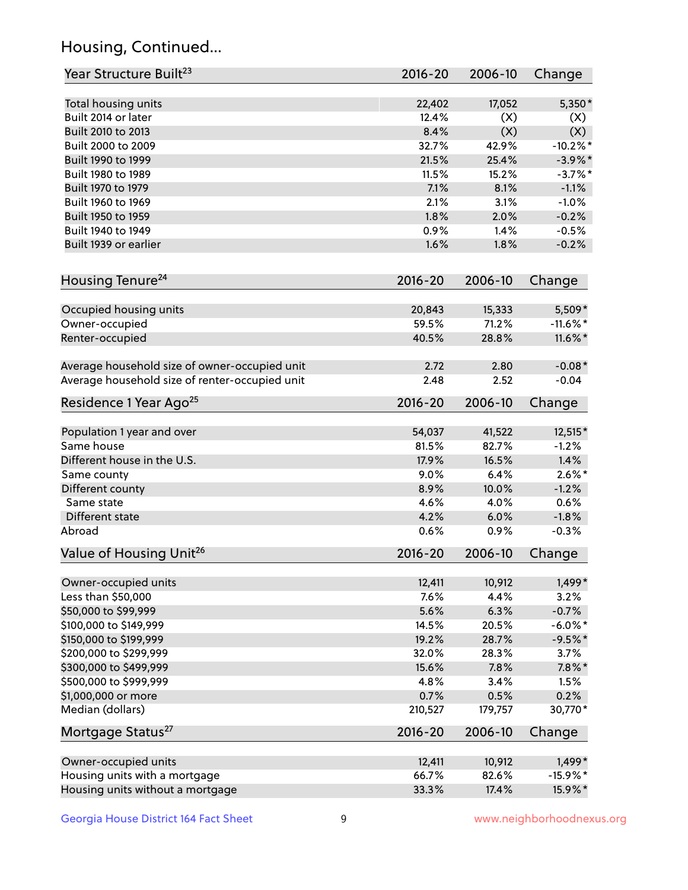## Housing, Continued...

| Year Structure Built <sup>23</sup>             | 2016-20     | 2006-10 | Change      |
|------------------------------------------------|-------------|---------|-------------|
| Total housing units                            | 22,402      | 17,052  | $5,350*$    |
| Built 2014 or later                            | 12.4%       | (X)     | (X)         |
| Built 2010 to 2013                             | 8.4%        | (X)     | (X)         |
| Built 2000 to 2009                             | 32.7%       | 42.9%   | $-10.2\%$ * |
| Built 1990 to 1999                             | 21.5%       | 25.4%   | $-3.9\%$ *  |
| Built 1980 to 1989                             | 11.5%       | 15.2%   | $-3.7%$ *   |
| Built 1970 to 1979                             | 7.1%        | 8.1%    | $-1.1%$     |
| Built 1960 to 1969                             | 2.1%        | 3.1%    | $-1.0%$     |
| Built 1950 to 1959                             | 1.8%        | 2.0%    | $-0.2%$     |
| Built 1940 to 1949                             | 0.9%        | 1.4%    | $-0.5%$     |
|                                                |             |         |             |
| Built 1939 or earlier                          | 1.6%        | 1.8%    | $-0.2%$     |
| Housing Tenure <sup>24</sup>                   | $2016 - 20$ | 2006-10 | Change      |
| Occupied housing units                         | 20,843      | 15,333  | 5,509*      |
| Owner-occupied                                 | 59.5%       | 71.2%   | $-11.6\%$ * |
| Renter-occupied                                | 40.5%       | 28.8%   | 11.6%*      |
| Average household size of owner-occupied unit  | 2.72        | 2.80    | $-0.08*$    |
| Average household size of renter-occupied unit | 2.48        | 2.52    | $-0.04$     |
| Residence 1 Year Ago <sup>25</sup>             | $2016 - 20$ | 2006-10 | Change      |
| Population 1 year and over                     | 54,037      | 41,522  | 12,515*     |
| Same house                                     | 81.5%       | 82.7%   | $-1.2%$     |
| Different house in the U.S.                    | 17.9%       | 16.5%   | 1.4%        |
|                                                |             | 6.4%    | $2.6\%$ *   |
| Same county                                    | 9.0%        |         |             |
| Different county                               | 8.9%        | 10.0%   | $-1.2%$     |
| Same state                                     | 4.6%        | 4.0%    | 0.6%        |
| Different state                                | 4.2%        | 6.0%    | $-1.8%$     |
| Abroad                                         | 0.6%        | 0.9%    | $-0.3%$     |
| Value of Housing Unit <sup>26</sup>            | $2016 - 20$ | 2006-10 | Change      |
| Owner-occupied units                           | 12,411      | 10,912  | 1,499*      |
| Less than \$50,000                             | 7.6%        | 4.4%    | 3.2%        |
| \$50,000 to \$99,999                           | 5.6%        | 6.3%    | $-0.7%$     |
| \$100,000 to \$149,999                         | 14.5%       | 20.5%   | $-6.0\%$ *  |
| \$150,000 to \$199,999                         | 19.2%       | 28.7%   | $-9.5%$ *   |
| \$200,000 to \$299,999                         | 32.0%       | 28.3%   | 3.7%        |
| \$300,000 to \$499,999                         | 15.6%       | 7.8%    | $7.8\%$ *   |
| \$500,000 to \$999,999                         | 4.8%        | 3.4%    | 1.5%        |
| \$1,000,000 or more                            | 0.7%        | 0.5%    | 0.2%        |
| Median (dollars)                               | 210,527     | 179,757 | 30,770*     |
| Mortgage Status <sup>27</sup>                  | $2016 - 20$ | 2006-10 | Change      |
| Owner-occupied units                           | 12,411      | 10,912  | 1,499*      |
| Housing units with a mortgage                  | 66.7%       | 82.6%   | $-15.9%$ *  |
| Housing units without a mortgage               | 33.3%       | 17.4%   | 15.9%*      |
|                                                |             |         |             |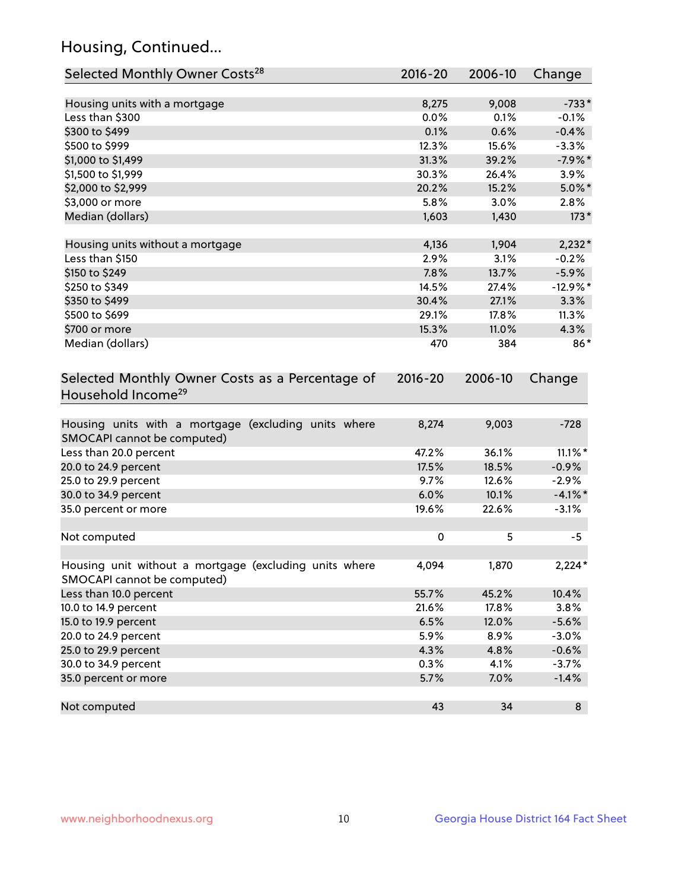## Housing, Continued...

| Selected Monthly Owner Costs <sup>28</sup>                                            | 2016-20     | 2006-10 | Change     |
|---------------------------------------------------------------------------------------|-------------|---------|------------|
| Housing units with a mortgage                                                         | 8,275       | 9,008   | $-733*$    |
| Less than \$300                                                                       | 0.0%        | 0.1%    | $-0.1%$    |
| \$300 to \$499                                                                        | 0.1%        | 0.6%    | $-0.4%$    |
| \$500 to \$999                                                                        | 12.3%       | 15.6%   | $-3.3%$    |
| \$1,000 to \$1,499                                                                    | 31.3%       | 39.2%   | $-7.9%$ *  |
| \$1,500 to \$1,999                                                                    | 30.3%       | 26.4%   | 3.9%       |
| \$2,000 to \$2,999                                                                    | 20.2%       | 15.2%   | $5.0\%$ *  |
| \$3,000 or more                                                                       | 5.8%        | 3.0%    | 2.8%       |
| Median (dollars)                                                                      | 1,603       | 1,430   | $173*$     |
| Housing units without a mortgage                                                      | 4,136       | 1,904   | $2,232*$   |
| Less than \$150                                                                       | 2.9%        | 3.1%    | $-0.2%$    |
| \$150 to \$249                                                                        | 7.8%        | 13.7%   | $-5.9%$    |
| \$250 to \$349                                                                        | 14.5%       | 27.4%   | $-12.9%$ * |
| \$350 to \$499                                                                        | 30.4%       | 27.1%   | 3.3%       |
| \$500 to \$699                                                                        | 29.1%       | 17.8%   | 11.3%      |
| \$700 or more                                                                         | 15.3%       | 11.0%   | 4.3%       |
| Median (dollars)                                                                      | 470         | 384     | 86*        |
| Selected Monthly Owner Costs as a Percentage of<br>Household Income <sup>29</sup>     | $2016 - 20$ |         | Change     |
| Housing units with a mortgage (excluding units where<br>SMOCAPI cannot be computed)   | 8,274       | 9,003   | $-728$     |
| Less than 20.0 percent                                                                | 47.2%       | 36.1%   | $11.1\%$ * |
| 20.0 to 24.9 percent                                                                  | 17.5%       | 18.5%   | $-0.9%$    |
| 25.0 to 29.9 percent                                                                  | 9.7%        | 12.6%   | $-2.9%$    |
| 30.0 to 34.9 percent                                                                  | 6.0%        | 10.1%   | $-4.1\%$ * |
| 35.0 percent or more                                                                  | 19.6%       | 22.6%   | $-3.1%$    |
| Not computed                                                                          | $\mathbf 0$ | 5       | $-5$       |
| Housing unit without a mortgage (excluding units where<br>SMOCAPI cannot be computed) | 4,094       | 1,870   | $2,224*$   |
| Less than 10.0 percent                                                                | 55.7%       | 45.2%   | 10.4%      |
| 10.0 to 14.9 percent                                                                  | 21.6%       | 17.8%   | 3.8%       |
| 15.0 to 19.9 percent                                                                  | 6.5%        | 12.0%   | $-5.6%$    |
| 20.0 to 24.9 percent                                                                  | 5.9%        | 8.9%    | $-3.0%$    |
| 25.0 to 29.9 percent                                                                  | 4.3%        | 4.8%    | $-0.6%$    |
| 30.0 to 34.9 percent                                                                  | 0.3%        | 4.1%    | $-3.7%$    |
| 35.0 percent or more                                                                  | 5.7%        | 7.0%    | $-1.4%$    |
| Not computed                                                                          | 43          | 34      | 8          |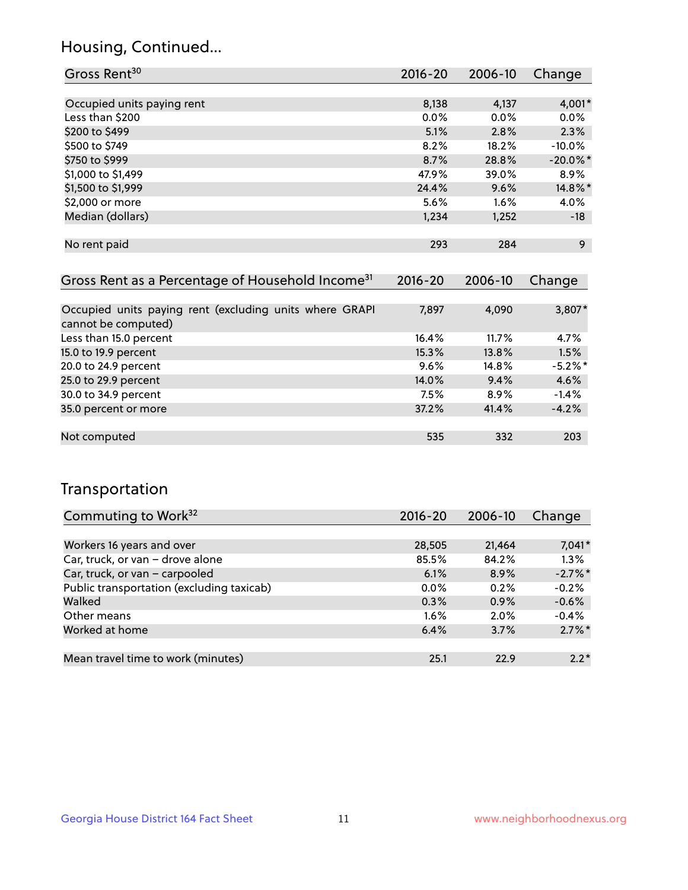## Housing, Continued...

| Gross Rent <sup>30</sup>   | 2016-20 | 2006-10 | Change      |
|----------------------------|---------|---------|-------------|
|                            |         |         |             |
| Occupied units paying rent | 8,138   | 4,137   | 4,001*      |
| Less than \$200            | $0.0\%$ | $0.0\%$ | 0.0%        |
| \$200 to \$499             | 5.1%    | 2.8%    | 2.3%        |
| \$500 to \$749             | 8.2%    | 18.2%   | $-10.0%$    |
| \$750 to \$999             | 8.7%    | 28.8%   | $-20.0\%$ * |
| \$1,000 to \$1,499         | 47.9%   | 39.0%   | 8.9%        |
| \$1,500 to \$1,999         | 24.4%   | 9.6%    | 14.8%*      |
| \$2,000 or more            | 5.6%    | $1.6\%$ | 4.0%        |
| Median (dollars)           | 1,234   | 1,252   | $-18$       |
|                            |         |         |             |
| No rent paid               | 293     | 284     | 9           |
|                            |         |         |             |

| Gross Rent as a Percentage of Household Income <sup>31</sup>                   | $2016 - 20$ | 2006-10 | Change  |
|--------------------------------------------------------------------------------|-------------|---------|---------|
|                                                                                |             |         |         |
| Occupied units paying rent (excluding units where GRAPI<br>cannot be computed) | 7,897       | 4,090   | 3,807*  |
| Less than 15.0 percent                                                         | 16.4%       | 11.7%   | 4.7%    |
| 15.0 to 19.9 percent                                                           | 15.3%       | 13.8%   | 1.5%    |
| 20.0 to 24.9 percent                                                           | 9.6%        | 14.8%   | $-5.2%$ |
| 25.0 to 29.9 percent                                                           | 14.0%       | 9.4%    | 4.6%    |
| 30.0 to 34.9 percent                                                           | 7.5%        | 8.9%    | $-1.4%$ |
| 35.0 percent or more                                                           | 37.2%       | 41.4%   | $-4.2%$ |
|                                                                                |             |         |         |
| Not computed                                                                   | 535         | 332     | 203     |

## Transportation

| Commuting to Work <sup>32</sup>           | 2016-20 | 2006-10 | Change     |
|-------------------------------------------|---------|---------|------------|
|                                           |         |         |            |
| Workers 16 years and over                 | 28,505  | 21,464  | $7,041*$   |
| Car, truck, or van - drove alone          | 85.5%   | 84.2%   | 1.3%       |
| Car, truck, or van - carpooled            | 6.1%    | 8.9%    | $-2.7\%$ * |
| Public transportation (excluding taxicab) | $0.0\%$ | 0.2%    | $-0.2%$    |
| Walked                                    | 0.3%    | 0.9%    | $-0.6%$    |
| Other means                               | $1.6\%$ | $2.0\%$ | $-0.4%$    |
| Worked at home                            | 6.4%    | 3.7%    | $2.7\%$ *  |
|                                           |         |         |            |
| Mean travel time to work (minutes)        | 25.1    | 22.9    | $2.2*$     |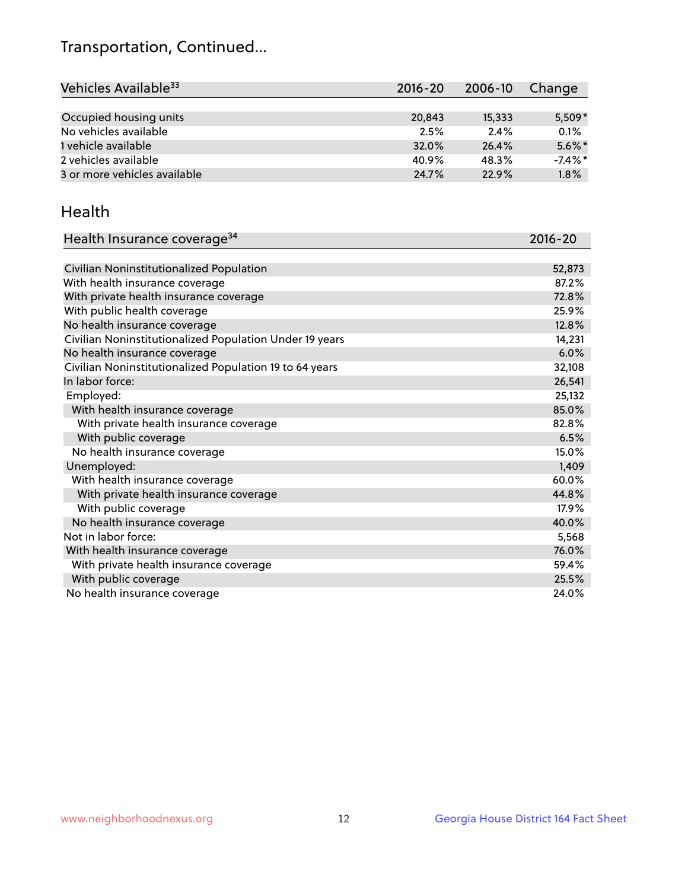## Transportation, Continued...

| Vehicles Available <sup>33</sup> | 2016-20 | 2006-10 | <b>Change</b> |
|----------------------------------|---------|---------|---------------|
|                                  |         |         |               |
| Occupied housing units           | 20,843  | 15,333  | $5,509*$      |
| No vehicles available            | 2.5%    | 2.4%    | 0.1%          |
| 1 vehicle available              | 32.0%   | 26.4%   | $5.6\%$ *     |
| 2 vehicles available             | 40.9%   | 48.3%   | $-7.4\%$ *    |
| 3 or more vehicles available     | 24.7%   | 22.9%   | 1.8%          |

#### Health

| Health Insurance coverage <sup>34</sup>                 | 2016-20 |
|---------------------------------------------------------|---------|
|                                                         |         |
| Civilian Noninstitutionalized Population                | 52,873  |
| With health insurance coverage                          | 87.2%   |
| With private health insurance coverage                  | 72.8%   |
| With public health coverage                             | 25.9%   |
| No health insurance coverage                            | 12.8%   |
| Civilian Noninstitutionalized Population Under 19 years | 14,231  |
| No health insurance coverage                            | 6.0%    |
| Civilian Noninstitutionalized Population 19 to 64 years | 32,108  |
| In labor force:                                         | 26,541  |
| Employed:                                               | 25,132  |
| With health insurance coverage                          | 85.0%   |
| With private health insurance coverage                  | 82.8%   |
| With public coverage                                    | 6.5%    |
| No health insurance coverage                            | 15.0%   |
| Unemployed:                                             | 1,409   |
| With health insurance coverage                          | 60.0%   |
| With private health insurance coverage                  | 44.8%   |
| With public coverage                                    | 17.9%   |
| No health insurance coverage                            | 40.0%   |
| Not in labor force:                                     | 5,568   |
| With health insurance coverage                          | 76.0%   |
| With private health insurance coverage                  | 59.4%   |
| With public coverage                                    | 25.5%   |
| No health insurance coverage                            | 24.0%   |